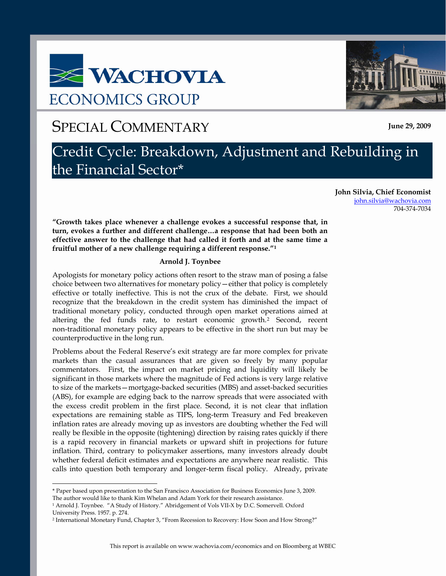# **E WACHOVIA ECONOMICS GROUP**

# SPECIAL COMMENTARY **June 29, 2009**

# Credit Cycle: Breakdown, Adjustment and Rebuilding in the Financial Sector\*

**John Silvia, Chief Economist** john.silvia@wachovia.com 704-374-7034

**"Growth takes place whenever a challenge evokes a successful response that, in turn, evokes a further and different challenge…a response that had been both an effective answer to the challenge that had called it forth and at the same time a fruitful mother of a new challenge requiring a different response.["1](#page-0-0)**

### **Arnold J. Toynbee**

Apologists for monetary policy actions often resort to the straw man of posing a false choice between two alternatives for monetary policy—either that policy is completely effective or totally ineffective. This is not the crux of the debate. First, we should recognize that the breakdown in the credit system has diminished the impact of traditional monetary policy, conducted through open market operations aimed at altering the fed funds rate, to restart economic growth.[2](#page-0-1) Second, recent non-traditional monetary policy appears to be effective in the short run but may be counterproductive in the long run.

Problems about the Federal Reserve's exit strategy are far more complex for private markets than the casual assurances that are given so freely by many popular commentators. First, the impact on market pricing and liquidity will likely be significant in those markets where the magnitude of Fed actions is very large relative to size of the markets—mortgage-backed securities (MBS) and asset-backed securities (ABS), for example are edging back to the narrow spreads that were associated with the excess credit problem in the first place. Second, it is not clear that inflation expectations are remaining stable as TIPS, long-term Treasury and Fed breakeven inflation rates are already moving up as investors are doubting whether the Fed will really be flexible in the opposite (tightening) direction by raising rates quickly if there is a rapid recovery in financial markets or upward shift in projections for future inflation. Third, contrary to policymaker assertions, many investors already doubt whether federal deficit estimates and expectations are anywhere near realistic. This calls into question both temporary and longer-term fiscal policy. Already, private

 $\overline{a}$ 



<span id="page-0-0"></span><sup>\*</sup> Paper based upon presentation to the San Francisco Association for Business Economics June 3, 2009. The author would like to thank Kim Whelan and Adam York for their research assistance.

<sup>1</sup> Arnold J. Toynbee. "A Study of History." Abridgement of Vols VII-X by D.C. Somervell. Oxford University Press. 1957. p. 274.

<span id="page-0-1"></span><sup>2</sup> International Monetary Fund, Chapter 3, "From Recession to Recovery: How Soon and How Strong?"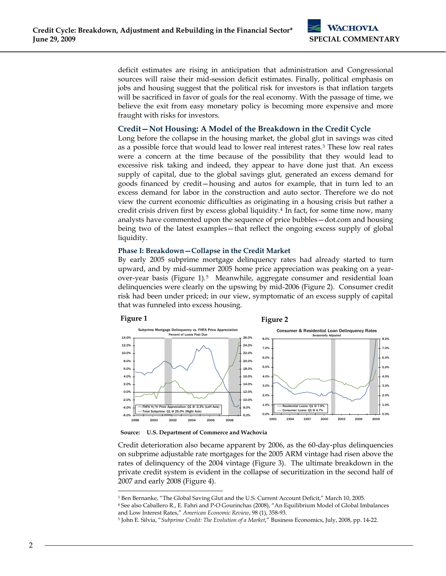deficit estimates are rising in anticipation that administration and Congressional sources will raise their mid-session deficit estimates. Finally, political emphasis on jobs and housing suggest that the political risk for investors is that inflation targets will be sacrificed in favor of goals for the real economy. With the passage of time, we believe the exit from easy monetary policy is becoming more expensive and more fraught with risks for investors.

# **Credit—Not Housing: A Model of the Breakdown in the Credit Cycle**

Long before the collapse in the housing market, the global glut in savings was cited as a possible force that would lead to lower real interest rates.[3](#page-1-0) These low real rates were a concern at the time because of the possibility that they would lead to excessive risk taking and indeed, they appear to have done just that. An excess supply of capital, due to the global savings glut, generated an excess demand for goods financed by credit—housing and autos for example, that in turn led to an excess demand for labor in the construction and auto sector. Therefore we do not view the current economic difficulties as originating in a housing crisis but rather a credit crisis driven first by excess global liquidity.[4](#page-1-1) In fact, for some time now, many analysts have commented upon the sequence of price bubbles—dot.com and housing being two of the latest examples—that reflect the ongoing excess supply of global liquidity.

# **Phase I: Breakdown—Collapse in the Credit Market**

By early 2005 subprime mortgage delinquency rates had already started to turn upward, and by mid-summer 2005 home price appreciation was peaking on a yearover-year basis ([Figure 1\)](#page-1-3).[5](#page-1-2) Meanwhile, aggregate consumer and residential loan delinquencies were clearly on the upswing by mid-2006 [\(Figure 2\)](#page-1-4). Consumer credit risk had been under priced; in our view, symptomatic of an excess supply of capital that was funneled into excess housing.

### <span id="page-1-4"></span><span id="page-1-3"></span>**Figure 1**

 $\overline{a}$ 





#### **Source: U.S. Department of Commerce and Wachovia**

Credit deterioration also became apparent by 2006, as the 60-day-plus delinquencies on subprime adjustable rate mortgages for the 2005 ARM vintage had risen above the rates of delinquency of the 2004 vintage ([Figure 3\)](#page-2-0). The ultimate breakdown in the private credit system is evident in the collapse of securitization in the second half of 2007 and early 2008 [\(Figure 4\)](#page-2-1).

<sup>3</sup> Ben Bernanke, "The Global Saving Glut and the U.S. Current Account Deficit," March 10, 2005.

<span id="page-1-1"></span><span id="page-1-0"></span><sup>4</sup> See also Caballero R., E. Fahri and P-O Gourinchas (2008), "An Equilibrium Model of Global Imbalances and Low Interest Rates," *American Economic Review*, 98 (1), 358-93. 5 John E. Silvia, "*Subprime Credit: The Evolution of a Market*," Business Economics, July, 2008, pp. 14-22.

<span id="page-1-2"></span>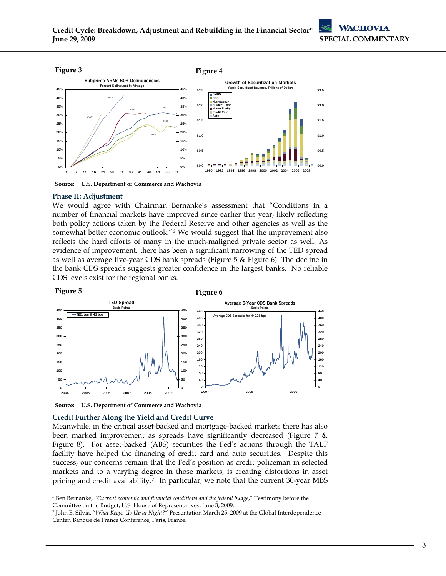<span id="page-2-1"></span><span id="page-2-0"></span>

**Source: U.S. Department of Commerce and Wachovia** 

#### **Phase II: Adjustment**

We would agree with Chairman Bernanke's assessment that "Conditions in a number of financial markets have improved since earlier this year, likely reflecting both policy actions taken by the Federal Reserve and other agencies as well as the somewhat better economic outlook."<sup>[6](#page-2-2)</sup> We would suggest that the improvement also reflects the hard efforts of many in the much-maligned private sector as well. As evidence of improvement, there has been a significant narrowing of the TED spread as well as average five-year CDS bank spreads [\(Figure 5](#page-2-3) & [Figure 6](#page-2-4)). The decline in the bank CDS spreads suggests greater confidence in the largest banks. No reliable CDS levels exist for the regional banks.

<span id="page-2-4"></span><span id="page-2-3"></span>

**Source: U.S. Department of Commerce and Wachovia** 

 $\overline{a}$ 

#### **Credit Further Along the Yield and Credit Curve**

Meanwhile, in the critical asset-backed and mortgage-backed markets there has also been marked improvement as spreads have significantly decreased ([Figure 7](#page-3-0) & [Figure 8](#page-3-1)). For asset-backed (ABS) securities the Fed's actions through the TALF facility have helped the financing of credit card and auto securities. Despite this success, our concerns remain that the Fed's position as credit policeman in selected markets and to a varying degree in those markets, is creating distortions in asset pricing and credit availability[.7](#page-2-5) In particular, we note that the current 30-year MBS

<span id="page-2-2"></span><sup>6</sup> Ben Bernanke, "*Current economic and financial conditions and the federal budge*," Testimony before the Committee on the Budget, U.S. House of Representatives, June 3, 2009.

<span id="page-2-5"></span><sup>7</sup> John E. Silvia, "*What Keeps Us Up at Night?*" Presentation March 25, 2009 at the Global Interdependence Center, Banque de France Conference, Paris, France.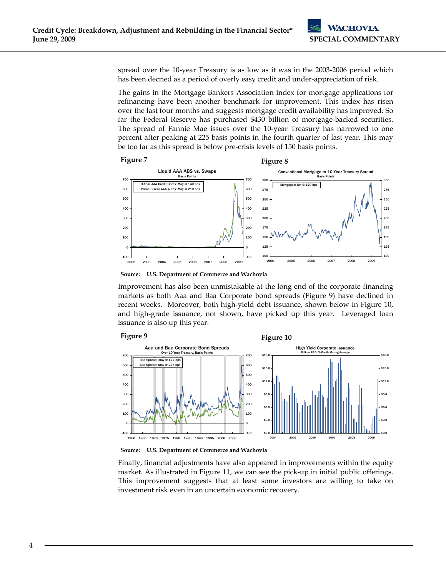spread over the 10-year Treasury is as low as it was in the 2003-2006 period which has been decried as a period of overly easy credit and under-appreciation of risk.

The gains in the Mortgage Bankers Association index for mortgage applications for refinancing have been another benchmark for improvement. This index has risen over the last four months and suggests mortgage credit availability has improved. So far the Federal Reserve has purchased \$430 billion of mortgage-backed securities. The spread of Fannie Mae issues over the 10-year Treasury has narrowed to one percent after peaking at 225 basis points in the fourth quarter of last year. This may be too far as this spread is below pre-crisis levels of 150 basis points.

<span id="page-3-1"></span><span id="page-3-0"></span>

**Source: U.S. Department of Commerce and Wachovia** 

Improvement has also been unmistakable at the long end of the corporate financing markets as both Aaa and Baa Corporate bond spreads (Figure 9) have declined in recent weeks. Moreover, both high-yield debt issuance, shown below in Figure 10, and high-grade issuance, not shown, have picked up this year. Leveraged loan issuance is also up this year.



**Figure 10** 



**Source: U.S. Department of Commerce and Wachovia** 

Finally, financial adjustments have also appeared in improvements within the equity market. As illustrated in [Figure 11,](#page-4-0) we can see the pick-up in initial public offerings. This improvement suggests that at least some investors are willing to take on investment risk even in an uncertain economic recovery.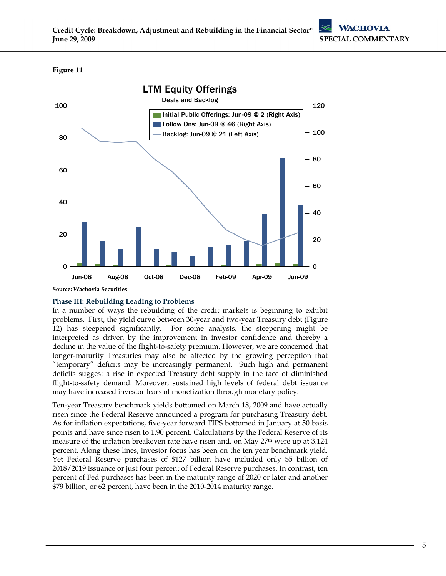# <span id="page-4-0"></span>**Figure 11**



**Source: Wachovia Securities** 

# **Phase III: Rebuilding Leading to Problems**

In a number of ways the rebuilding of the credit markets is beginning to exhibit problems. First, the yield curve between 30-year and two-year Treasury debt [\(Figure](#page-5-0)  [12](#page-5-0)) has steepened significantly. For some analysts, the steepening might be interpreted as driven by the improvement in investor confidence and thereby a decline in the value of the flight-to-safety premium. However, we are concerned that longer-maturity Treasuries may also be affected by the growing perception that "temporary" deficits may be increasingly permanent. Such high and permanent deficits suggest a rise in expected Treasury debt supply in the face of diminished flight-to-safety demand. Moreover, sustained high levels of federal debt issuance may have increased investor fears of monetization through monetary policy.

Ten-year Treasury benchmark yields bottomed on March 18, 2009 and have actually risen since the Federal Reserve announced a program for purchasing Treasury debt. As for inflation expectations, five-year forward TIPS bottomed in January at 50 basis points and have since risen to 1.90 percent. Calculations by the Federal Reserve of its measure of the inflation breakeven rate have risen and, on May 27<sup>th</sup> were up at 3.124 percent. Along these lines, investor focus has been on the ten year benchmark yield. Yet Federal Reserve purchases of \$127 billion have included only \$5 billion of 2018/2019 issuance or just four percent of Federal Reserve purchases. In contrast, ten percent of Fed purchases has been in the maturity range of 2020 or later and another \$79 billion, or 62 percent, have been in the 2010-2014 maturity range.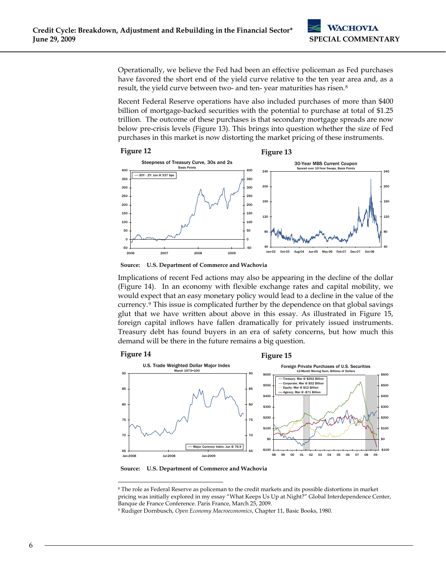Operationally, we believe the Fed had been an effective policeman as Fed purchases have favored the short end of the yield curve relative to the ten year area and, as a result, the yield curve between two- and ten-year maturities has risen.<sup>[8](#page-5-1)</sup>

Recent Federal Reserve operations have also included purchases of more than \$400 billion of mortgage-backed securities with the potential to purchase at total of \$1.25 trillion. The outcome of these purchases is that secondary mortgage spreads are now below pre-crisis levels ([Figure 13\)](#page-5-2). This brings into question whether the size of Fed purchases in this market is now distorting the market pricing of these instruments.

<span id="page-5-2"></span><span id="page-5-0"></span>

**Source: U.S. Department of Commerce and Wachovia** 

Implications of recent Fed actions may also be appearing in the decline of the dollar [\(Figure 14](#page-5-4)). In an economy with flexible exchange rates and capital mobility, we would expect that an easy monetary policy would lead to a decline in the value of the currency.[9](#page-5-3) This issue is complicated further by the dependence on that global savings glut that we have written about above in this essay. As illustrated in [Figure 15,](#page-5-5) foreign capital inflows have fallen dramatically for privately issued instruments. Treasury debt has found buyers in an era of safety concerns, but how much this demand will be there in the future remains a big question.

<span id="page-5-5"></span><span id="page-5-4"></span>

**Source: U.S. Department of Commerce and Wachovia** 

 $\overline{a}$ 

<span id="page-5-1"></span><sup>8</sup> The role as Federal Reserve as policeman to the credit markets and its possible distortions in market pricing was initially explored in my essay "What Keeps Us Up at Night?" Global Interdependence Center, Banque de France Conference. Paris France, March 25, 2009.

<span id="page-5-3"></span><sup>9</sup> Rudiger Dornbusch, *Open Economy Macroeconomics*, Chapter 11, Basic Books, 1980.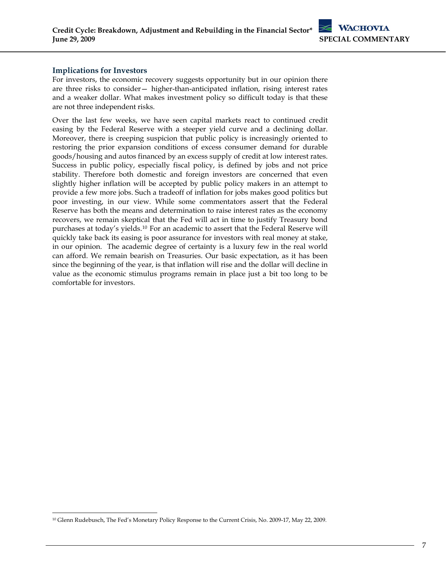# **Implications for Investors**

-

For investors, the economic recovery suggests opportunity but in our opinion there are three risks to consider— higher-than-anticipated inflation, rising interest rates and a weaker dollar. What makes investment policy so difficult today is that these are not three independent risks.

Over the last few weeks, we have seen capital markets react to continued credit easing by the Federal Reserve with a steeper yield curve and a declining dollar. Moreover, there is creeping suspicion that public policy is increasingly oriented to restoring the prior expansion conditions of excess consumer demand for durable goods/housing and autos financed by an excess supply of credit at low interest rates. Success in public policy, especially fiscal policy, is defined by jobs and not price stability. Therefore both domestic and foreign investors are concerned that even slightly higher inflation will be accepted by public policy makers in an attempt to provide a few more jobs. Such a tradeoff of inflation for jobs makes good politics but poor investing, in our view. While some commentators assert that the Federal Reserve has both the means and determination to raise interest rates as the economy recovers, we remain skeptical that the Fed will act in time to justify Treasury bond purchases at today's yields.[10](#page-6-0) For an academic to assert that the Federal Reserve will quickly take back its easing is poor assurance for investors with real money at stake, in our opinion. The academic degree of certainty is a luxury few in the real world can afford. We remain bearish on Treasuries. Our basic expectation, as it has been since the beginning of the year, is that inflation will rise and the dollar will decline in value as the economic stimulus programs remain in place just a bit too long to be comfortable for investors.

<span id="page-6-0"></span><sup>&</sup>lt;sup>10</sup> Glenn Rudebusch, The Fed's Monetary Policy Response to the Current Crisis, No. 2009-17, May 22, 2009.